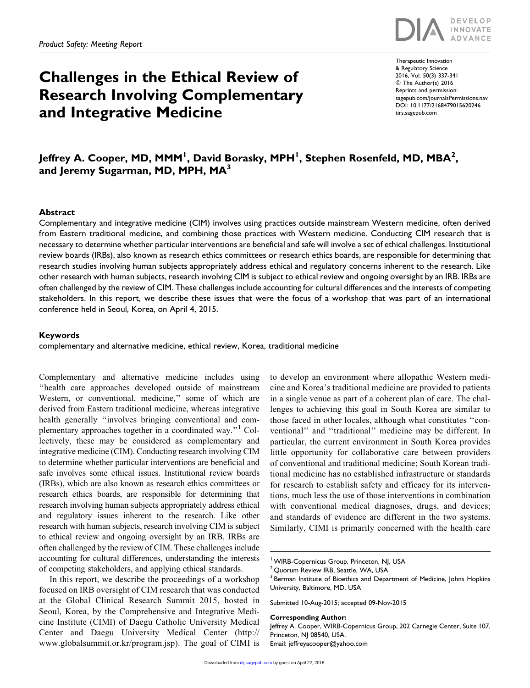# Challenges in the Ethical Review of Research Involving Complementary and Integrative Medicine



Therapeutic Innovation & Regulatory Science 2016, Vol. 50(3) 337-341 ª The Author(s) 2016 Reprints and permission: [sagepub.com/journalsPermissions.nav](http://www.sagepub.com/journalsPermissions.nav) DOI: 10.1177/2168479015620246 [tirs.sagepub.com](http://tirs.sagepub.com)

# Jeffrey A. Cooper, MD, MMM<sup>I</sup>, David Borasky, MPH<sup>I</sup>, Stephen Rosenfeld, MD, MBA<sup>2</sup>, and Jeremy Sugarman, MD, MPH, MA<sup>3</sup>

#### Abstract

Complementary and integrative medicine (CIM) involves using practices outside mainstream Western medicine, often derived from Eastern traditional medicine, and combining those practices with Western medicine. Conducting CIM research that is necessary to determine whether particular interventions are beneficial and safe will involve a set of ethical challenges. Institutional review boards (IRBs), also known as research ethics committees or research ethics boards, are responsible for determining that research studies involving human subjects appropriately address ethical and regulatory concerns inherent to the research. Like other research with human subjects, research involving CIM is subject to ethical review and ongoing oversight by an IRB. IRBs are often challenged by the review of CIM. These challenges include accounting for cultural differences and the interests of competing stakeholders. In this report, we describe these issues that were the focus of a workshop that was part of an international conference held in Seoul, Korea, on April 4, 2015.

#### Keywords

complementary and alternative medicine, ethical review, Korea, traditional medicine

Complementary and alternative medicine includes using ''health care approaches developed outside of mainstream Western, or conventional, medicine," some of which are derived from Eastern traditional medicine, whereas integrative health generally ''involves bringing conventional and complementary approaches together in a coordinated way.''<sup>1</sup> Collectively, these may be considered as complementary and integrative medicine (CIM). Conducting research involving CIM to determine whether particular interventions are beneficial and safe involves some ethical issues. Institutional review boards (IRBs), which are also known as research ethics committees or research ethics boards, are responsible for determining that research involving human subjects appropriately address ethical and regulatory issues inherent to the research. Like other research with human subjects, research involving CIM is subject to ethical review and ongoing oversight by an IRB. IRBs are often challenged by the review of CIM. These challenges include accounting for cultural differences, understanding the interests of competing stakeholders, and applying ethical standards.

In this report, we describe the proceedings of a workshop focused on IRB oversight of CIM research that was conducted at the Global Clinical Research Summit 2015, hosted in Seoul, Korea, by the Comprehensive and Integrative Medicine Institute (CIMI) of Daegu Catholic University Medical Center and Daegu University Medical Center ([http://](http://www.globalsummit.or.kr/program.jsp) [www.globalsummit.or.kr/program.jsp](http://www.globalsummit.or.kr/program.jsp)). The goal of CIMI is to develop an environment where allopathic Western medicine and Korea's traditional medicine are provided to patients in a single venue as part of a coherent plan of care. The challenges to achieving this goal in South Korea are similar to those faced in other locales, although what constitutes ''conventional'' and ''traditional'' medicine may be different. In particular, the current environment in South Korea provides little opportunity for collaborative care between providers of conventional and traditional medicine; South Korean traditional medicine has no established infrastructure or standards for research to establish safety and efficacy for its interventions, much less the use of those interventions in combination with conventional medical diagnoses, drugs, and devices; and standards of evidence are different in the two systems. Similarly, CIMI is primarily concerned with the health care

Submitted 10-Aug-2015; accepted 09-Nov-2015

#### Corresponding Author:

Jeffrey A. Cooper, WIRB-Copernicus Group, 202 Carnegie Center, Suite 107, Princeton, NJ 08540, USA.

Email: jeffreyacooper@yahoo.com

<sup>&</sup>lt;sup>1</sup> WIRB-Copernicus Group, Princeton, NJ, USA

<sup>&</sup>lt;sup>2</sup> Quorum Review IRB, Seattle, WA, USA

<sup>&</sup>lt;sup>3</sup> Berman Institute of Bioethics and Department of Medicine, Johns Hopkins University, Baltimore, MD, USA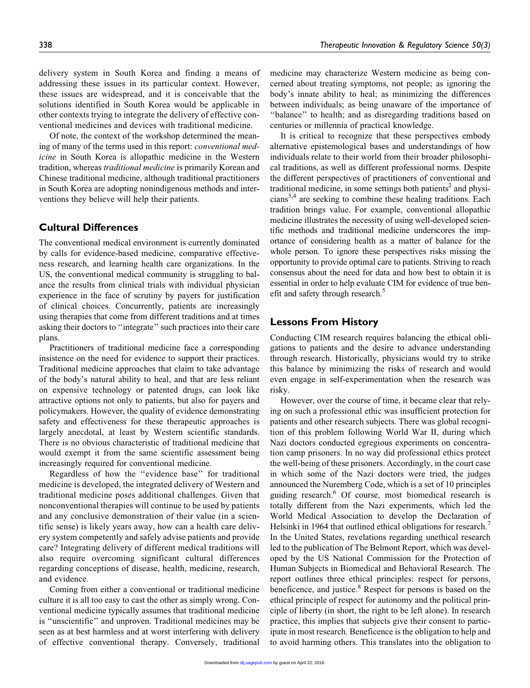delivery system in South Korea and finding a means of addressing these issues in its particular context. However, these issues are widespread, and it is conceivable that the solutions identified in South Korea would be applicable in other contexts trying to integrate the delivery of effective conventional medicines and devices with traditional medicine.

Of note, the context of the workshop determined the meaning of many of the terms used in this report: conventional medicine in South Korea is allopathic medicine in the Western tradition, whereas traditional medicine is primarily Korean and Chinese traditional medicine, although traditional practitioners in South Korea are adopting nonindigenous methods and interventions they believe will help their patients.

## Cultural Differences

The conventional medical environment is currently dominated by calls for evidence-based medicine, comparative effectiveness research, and learning health care organizations. In the US, the conventional medical community is struggling to balance the results from clinical trials with individual physician experience in the face of scrutiny by payers for justification of clinical choices. Concurrently, patients are increasingly using therapies that come from different traditions and at times asking their doctors to ''integrate'' such practices into their care plans.

Practitioners of traditional medicine face a corresponding insistence on the need for evidence to support their practices. Traditional medicine approaches that claim to take advantage of the body's natural ability to heal, and that are less reliant on expensive technology or patented drugs, can look like attractive options not only to patients, but also for payers and policymakers. However, the quality of evidence demonstrating safety and effectiveness for these therapeutic approaches is largely anecdotal, at least by Western scientific standards. There is no obvious characteristic of traditional medicine that would exempt it from the same scientific assessment being increasingly required for conventional medicine.

Regardless of how the ''evidence base'' for traditional medicine is developed, the integrated delivery of Western and traditional medicine poses additional challenges. Given that nonconventional therapies will continue to be used by patients and any conclusive demonstration of their value (in a scientific sense) is likely years away, how can a health care delivery system competently and safely advise patients and provide care? Integrating delivery of different medical traditions will also require overcoming significant cultural differences regarding conceptions of disease, health, medicine, research, and evidence.

Coming from either a conventional or traditional medicine culture it is all too easy to cast the other as simply wrong. Conventional medicine typically assumes that traditional medicine is ''unscientific'' and unproven. Traditional medicines may be seen as at best harmless and at worst interfering with delivery of effective conventional therapy. Conversely, traditional

medicine may characterize Western medicine as being concerned about treating symptoms, not people; as ignoring the body's innate ability to heal; as minimizing the differences between individuals; as being unaware of the importance of ''balance'' to health; and as disregarding traditions based on centuries or millennia of practical knowledge.

It is critical to recognize that these perspectives embody alternative epistemological bases and understandings of how individuals relate to their world from their broader philosophical traditions, as well as different professional norms. Despite the different perspectives of practitioners of conventional and traditional medicine, in some settings both patients<sup>2</sup> and physicians<sup>3,4</sup> are seeking to combine these healing traditions. Each tradition brings value. For example, conventional allopathic medicine illustrates the necessity of using well-developed scientific methods and traditional medicine underscores the importance of considering health as a matter of balance for the whole person. To ignore these perspectives risks missing the opportunity to provide optimal care to patients. Striving to reach consensus about the need for data and how best to obtain it is essential in order to help evaluate CIM for evidence of true benefit and safety through research.<sup>5</sup>

## Lessons From History

Conducting CIM research requires balancing the ethical obligations to patients and the desire to advance understanding through research. Historically, physicians would try to strike this balance by minimizing the risks of research and would even engage in self-experimentation when the research was risky.

However, over the course of time, it became clear that relying on such a professional ethic was insufficient protection for patients and other research subjects. There was global recognition of this problem following World War II, during which Nazi doctors conducted egregious experiments on concentration camp prisoners. In no way did professional ethics protect the well-being of these prisoners. Accordingly, in the court case in which some of the Nazi doctors were tried, the judges announced the Nuremberg Code, which is a set of 10 principles guiding research.<sup>6</sup> Of course, most biomedical research is totally different from the Nazi experiments, which led the World Medical Association to develop the Declaration of Helsinki in 1964 that outlined ethical obligations for research.<sup>7</sup> In the United States, revelations regarding unethical research led to the publication of The Belmont Report, which was developed by the US National Commission for the Protection of Human Subjects in Biomedical and Behavioral Research. The report outlines three ethical principles: respect for persons, beneficence, and justice.<sup>8</sup> Respect for persons is based on the ethical principle of respect for autonomy and the political principle of liberty (in short, the right to be left alone). In research practice, this implies that subjects give their consent to participate in most research. Beneficence is the obligation to help and to avoid harming others. This translates into the obligation to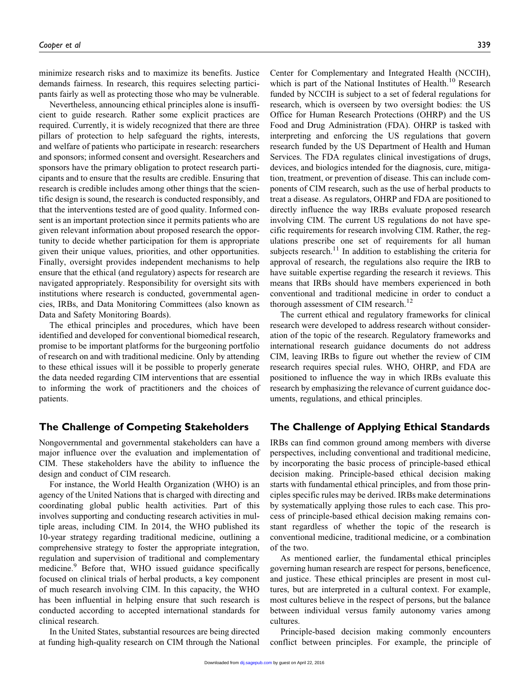minimize research risks and to maximize its benefits. Justice demands fairness. In research, this requires selecting participants fairly as well as protecting those who may be vulnerable.

Nevertheless, announcing ethical principles alone is insufficient to guide research. Rather some explicit practices are required. Currently, it is widely recognized that there are three pillars of protection to help safeguard the rights, interests, and welfare of patients who participate in research: researchers and sponsors; informed consent and oversight. Researchers and sponsors have the primary obligation to protect research participants and to ensure that the results are credible. Ensuring that research is credible includes among other things that the scientific design is sound, the research is conducted responsibly, and that the interventions tested are of good quality. Informed consent is an important protection since it permits patients who are given relevant information about proposed research the opportunity to decide whether participation for them is appropriate given their unique values, priorities, and other opportunities. Finally, oversight provides independent mechanisms to help ensure that the ethical (and regulatory) aspects for research are navigated appropriately. Responsibility for oversight sits with institutions where research is conducted, governmental agencies, IRBs, and Data Monitoring Committees (also known as Data and Safety Monitoring Boards).

The ethical principles and procedures, which have been identified and developed for conventional biomedical research, promise to be important platforms for the burgeoning portfolio of research on and with traditional medicine. Only by attending to these ethical issues will it be possible to properly generate the data needed regarding CIM interventions that are essential to informing the work of practitioners and the choices of patients.

### The Challenge of Competing Stakeholders

Nongovernmental and governmental stakeholders can have a major influence over the evaluation and implementation of CIM. These stakeholders have the ability to influence the design and conduct of CIM research.

For instance, the World Health Organization (WHO) is an agency of the United Nations that is charged with directing and coordinating global public health activities. Part of this involves supporting and conducting research activities in multiple areas, including CIM. In 2014, the WHO published its 10-year strategy regarding traditional medicine, outlining a comprehensive strategy to foster the appropriate integration, regulation and supervision of traditional and complementary medicine.<sup>9</sup> Before that, WHO issued guidance specifically focused on clinical trials of herbal products, a key component of much research involving CIM. In this capacity, the WHO has been influential in helping ensure that such research is conducted according to accepted international standards for clinical research.

In the United States, substantial resources are being directed at funding high-quality research on CIM through the National Center for Complementary and Integrated Health (NCCIH), which is part of the National Institutes of Health.<sup>10</sup> Research funded by NCCIH is subject to a set of federal regulations for research, which is overseen by two oversight bodies: the US Office for Human Research Protections (OHRP) and the US Food and Drug Administration (FDA). OHRP is tasked with interpreting and enforcing the US regulations that govern research funded by the US Department of Health and Human Services. The FDA regulates clinical investigations of drugs, devices, and biologics intended for the diagnosis, cure, mitigation, treatment, or prevention of disease. This can include components of CIM research, such as the use of herbal products to treat a disease. As regulators, OHRP and FDA are positioned to directly influence the way IRBs evaluate proposed research involving CIM. The current US regulations do not have specific requirements for research involving CIM. Rather, the regulations prescribe one set of requirements for all human subjects research.<sup>11</sup> In addition to establishing the criteria for approval of research, the regulations also require the IRB to have suitable expertise regarding the research it reviews. This means that IRBs should have members experienced in both conventional and traditional medicine in order to conduct a thorough assessment of CIM research.<sup>12</sup>

The current ethical and regulatory frameworks for clinical research were developed to address research without consideration of the topic of the research. Regulatory frameworks and international research guidance documents do not address CIM, leaving IRBs to figure out whether the review of CIM research requires special rules. WHO, OHRP, and FDA are positioned to influence the way in which IRBs evaluate this research by emphasizing the relevance of current guidance documents, regulations, and ethical principles.

# The Challenge of Applying Ethical Standards

IRBs can find common ground among members with diverse perspectives, including conventional and traditional medicine, by incorporating the basic process of principle-based ethical decision making. Principle-based ethical decision making starts with fundamental ethical principles, and from those principles specific rules may be derived. IRBs make determinations by systematically applying those rules to each case. This process of principle-based ethical decision making remains constant regardless of whether the topic of the research is conventional medicine, traditional medicine, or a combination of the two.

As mentioned earlier, the fundamental ethical principles governing human research are respect for persons, beneficence, and justice. These ethical principles are present in most cultures, but are interpreted in a cultural context. For example, most cultures believe in the respect of persons, but the balance between individual versus family autonomy varies among cultures.

Principle-based decision making commonly encounters conflict between principles. For example, the principle of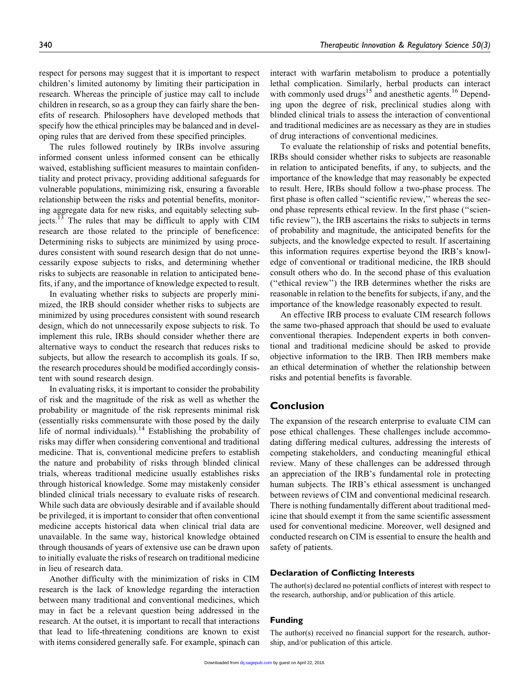respect for persons may suggest that it is important to respect children's limited autonomy by limiting their participation in research. Whereas the principle of justice may call to include children in research, so as a group they can fairly share the benefits of research. Philosophers have developed methods that specify how the ethical principles may be balanced and in developing rules that are derived from these specified principles.

The rules followed routinely by IRBs involve assuring informed consent unless informed consent can be ethically waived, establishing sufficient measures to maintain confidentiality and protect privacy, providing additional safeguards for vulnerable populations, minimizing risk, ensuring a favorable relationship between the risks and potential benefits, monitoring aggregate data for new risks, and equitably selecting subjects.<sup>13</sup> The rules that may be difficult to apply with CIM research are those related to the principle of beneficence: Determining risks to subjects are minimized by using procedures consistent with sound research design that do not unnecessarily expose subjects to risks, and determining whether risks to subjects are reasonable in relation to anticipated benefits, if any, and the importance of knowledge expected to result.

In evaluating whether risks to subjects are properly minimized, the IRB should consider whether risks to subjects are minimized by using procedures consistent with sound research design, which do not unnecessarily expose subjects to risk. To implement this rule, IRBs should consider whether there are alternative ways to conduct the research that reduces risks to subjects, but allow the research to accomplish its goals. If so, the research procedures should be modified accordingly consistent with sound research design.

In evaluating risks, it is important to consider the probability of risk and the magnitude of the risk as well as whether the probability or magnitude of the risk represents minimal risk (essentially risks commensurate with those posed by the daily life of normal individuals).<sup>14</sup> Establishing the probability of risks may differ when considering conventional and traditional medicine. That is, conventional medicine prefers to establish the nature and probability of risks through blinded clinical trials, whereas traditional medicine usually establishes risks through historical knowledge. Some may mistakenly consider blinded clinical trials necessary to evaluate risks of research. While such data are obviously desirable and if available should be privileged, it is important to consider that often conventional medicine accepts historical data when clinical trial data are unavailable. In the same way, historical knowledge obtained through thousands of years of extensive use can be drawn upon to initially evaluate the risks of research on traditional medicine in lieu of research data.

Another difficulty with the minimization of risks in CIM research is the lack of knowledge regarding the interaction between many traditional and conventional medicines, which may in fact be a relevant question being addressed in the research. At the outset, it is important to recall that interactions that lead to life-threatening conditions are known to exist with items considered generally safe. For example, spinach can

interact with warfarin metabolism to produce a potentially lethal complication. Similarly, herbal products can interact with commonly used drugs<sup>15</sup> and anesthetic agents.<sup>16</sup> Depending upon the degree of risk, preclinical studies along with blinded clinical trials to assess the interaction of conventional and traditional medicines are as necessary as they are in studies of drug interactions of conventional medicines.

To evaluate the relationship of risks and potential benefits, IRBs should consider whether risks to subjects are reasonable in relation to anticipated benefits, if any, to subjects, and the importance of the knowledge that may reasonably be expected to result. Here, IRBs should follow a two-phase process. The first phase is often called ''scientific review,'' whereas the second phase represents ethical review. In the first phase (''scientific review''), the IRB ascertains the risks to subjects in terms of probability and magnitude, the anticipated benefits for the subjects, and the knowledge expected to result. If ascertaining this information requires expertise beyond the IRB's knowledge of conventional or traditional medicine, the IRB should consult others who do. In the second phase of this evaluation (''ethical review'') the IRB determines whether the risks are reasonable in relation to the benefits for subjects, if any, and the importance of the knowledge reasonably expected to result.

An effective IRB process to evaluate CIM research follows the same two-phased approach that should be used to evaluate conventional therapies. Independent experts in both conventional and traditional medicine should be asked to provide objective information to the IRB. Then IRB members make an ethical determination of whether the relationship between risks and potential benefits is favorable.

# Conclusion

The expansion of the research enterprise to evaluate CIM can pose ethical challenges. These challenges include accommodating differing medical cultures, addressing the interests of competing stakeholders, and conducting meaningful ethical review. Many of these challenges can be addressed through an appreciation of the IRB's fundamental role in protecting human subjects. The IRB's ethical assessment is unchanged between reviews of CIM and conventional medicinal research. There is nothing fundamentally different about traditional medicine that should exempt it from the same scientific assessment used for conventional medicine. Moreover, well designed and conducted research on CIM is essential to ensure the health and safety of patients.

#### Declaration of Conflicting Interests

The author(s) declared no potential conflicts of interest with respect to the research, authorship, and/or publication of this article.

#### Funding

The author(s) received no financial support for the research, authorship, and/or publication of this article.